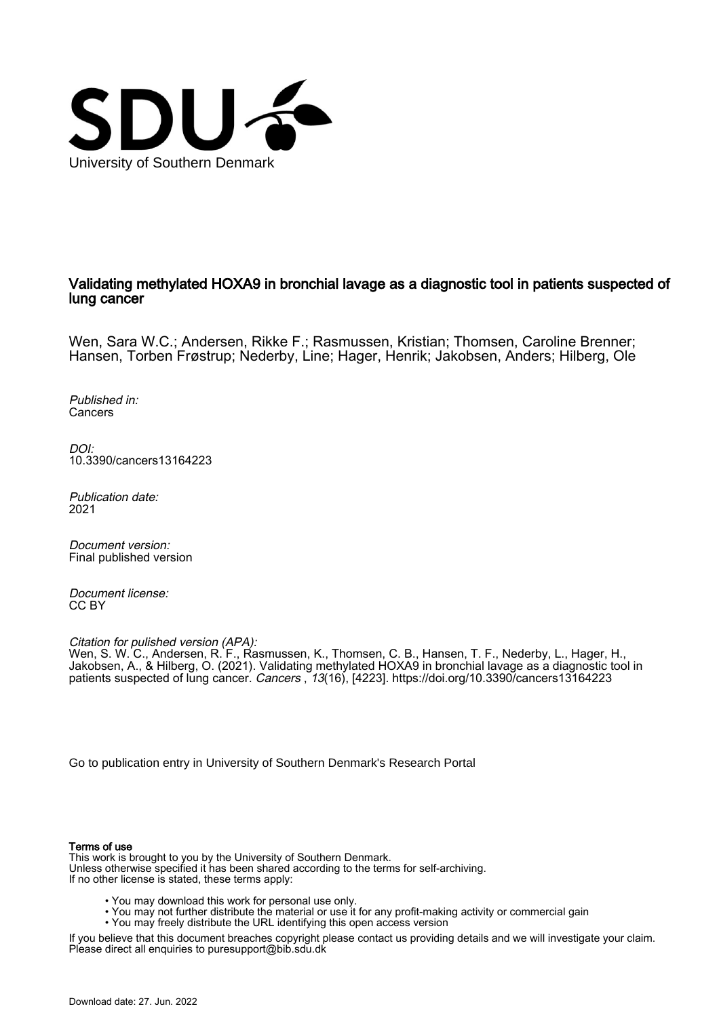

# Validating methylated HOXA9 in bronchial lavage as a diagnostic tool in patients suspected of lung cancer

Wen, Sara W.C.; Andersen, Rikke F.; Rasmussen, Kristian; Thomsen, Caroline Brenner; Hansen, Torben Frøstrup; Nederby, Line; Hager, Henrik; Jakobsen, Anders; Hilberg, Ole

Published in: Cancers

DOI: [10.3390/cancers13164223](https://doi.org/10.3390/cancers13164223)

Publication date: 2021

Document version: Final published version

Document license: CC BY

Citation for pulished version (APA):

Wen, S. W. C., Andersen, R. F., Rasmussen, K., Thomsen, C. B., Hansen, T. F., Nederby, L., Hager, H., Jakobsen, A., & Hilberg, O. (2021). Validating methylated HOXA9 in bronchial lavage as a diagnostic tool in patients suspected of lung cancer. Cancers, 13(16), [4223]. <https://doi.org/10.3390/cancers13164223>

[Go to publication entry in University of Southern Denmark's Research Portal](https://portal.findresearcher.sdu.dk/en/publications/9b85b9a0-a00b-4ddf-a729-3376f63b1172)

### Terms of use

This work is brought to you by the University of Southern Denmark. Unless otherwise specified it has been shared according to the terms for self-archiving. If no other license is stated, these terms apply:

- You may download this work for personal use only.
- You may not further distribute the material or use it for any profit-making activity or commercial gain
	- You may freely distribute the URL identifying this open access version

If you believe that this document breaches copyright please contact us providing details and we will investigate your claim. Please direct all enquiries to puresupport@bib.sdu.dk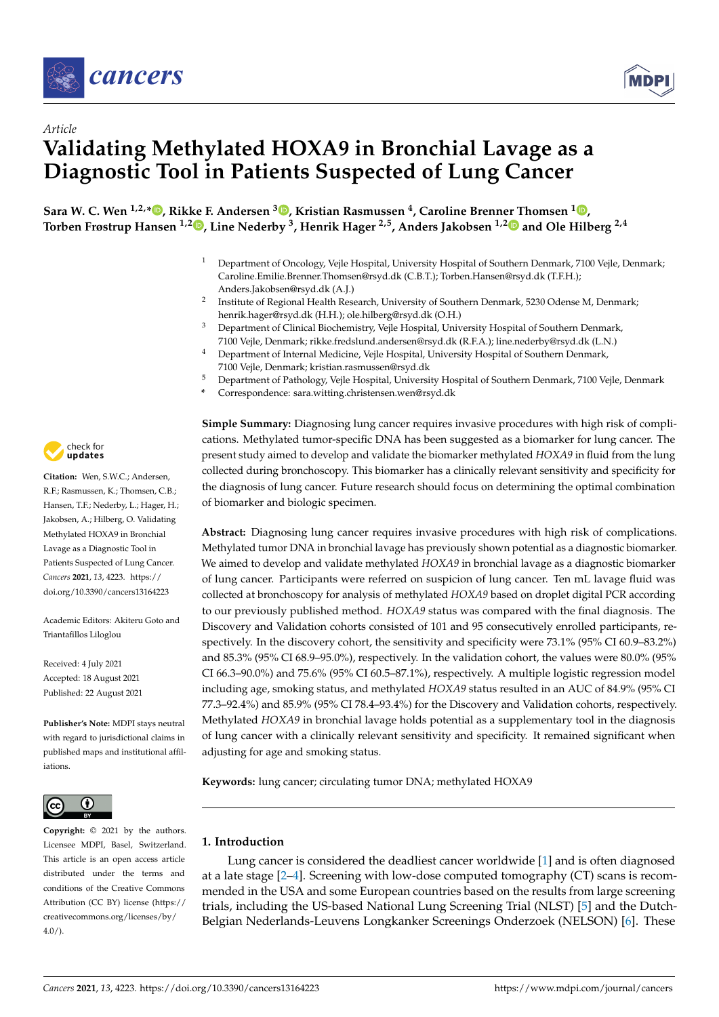



# *Article* **Validating Methylated HOXA9 in Bronchial Lavage as a Diagnostic Tool in Patients Suspected of Lung Cancer**

**Sara W. C. Wen 1,2,\* [,](https://orcid.org/0000-0003-3755-0922) Rikke F. Andersen [3](https://orcid.org/0000-0002-5894-7745) , Kristian Rasmussen <sup>4</sup> , Caroline Brenner Thomsen [1](https://orcid.org/0000-0003-4481-6274) , Torben Frøstrup Hansen 1,2 [,](https://orcid.org/0000-0001-7476-671X) Line Nederby <sup>3</sup> , Henrik Hager 2,5, Anders Jakobsen 1,[2](https://orcid.org/0000-0003-2110-2615) and Ole Hilberg 2,4**

- <sup>1</sup> Department of Oncology, Vejle Hospital, University Hospital of Southern Denmark, 7100 Vejle, Denmark; Caroline.Emilie.Brenner.Thomsen@rsyd.dk (C.B.T.); Torben.Hansen@rsyd.dk (T.F.H.); Anders.Jakobsen@rsyd.dk (A.J.)
- 2 Institute of Regional Health Research, University of Southern Denmark, 5230 Odense M, Denmark; henrik.hager@rsyd.dk (H.H.); ole.hilberg@rsyd.dk (O.H.)
- <sup>3</sup> Department of Clinical Biochemistry, Vejle Hospital, University Hospital of Southern Denmark, 7100 Vejle, Denmark; rikke.fredslund.andersen@rsyd.dk (R.F.A.); line.nederby@rsyd.dk (L.N.)
- <sup>4</sup> Department of Internal Medicine, Vejle Hospital, University Hospital of Southern Denmark, 7100 Vejle, Denmark; kristian.rasmussen@rsyd.dk
- <sup>5</sup> Department of Pathology, Vejle Hospital, University Hospital of Southern Denmark, 7100 Vejle, Denmark
	- **\*** Correspondence: sara.witting.christensen.wen@rsyd.dk

**Simple Summary:** Diagnosing lung cancer requires invasive procedures with high risk of complications. Methylated tumor-specific DNA has been suggested as a biomarker for lung cancer. The present study aimed to develop and validate the biomarker methylated *HOXA9* in fluid from the lung collected during bronchoscopy. This biomarker has a clinically relevant sensitivity and specificity for the diagnosis of lung cancer. Future research should focus on determining the optimal combination of biomarker and biologic specimen.

**Abstract:** Diagnosing lung cancer requires invasive procedures with high risk of complications. Methylated tumor DNA in bronchial lavage has previously shown potential as a diagnostic biomarker. We aimed to develop and validate methylated *HOXA9* in bronchial lavage as a diagnostic biomarker of lung cancer. Participants were referred on suspicion of lung cancer. Ten mL lavage fluid was collected at bronchoscopy for analysis of methylated *HOXA9* based on droplet digital PCR according to our previously published method. *HOXA9* status was compared with the final diagnosis. The Discovery and Validation cohorts consisted of 101 and 95 consecutively enrolled participants, respectively. In the discovery cohort, the sensitivity and specificity were 73.1% (95% CI 60.9–83.2%) and 85.3% (95% CI 68.9–95.0%), respectively. In the validation cohort, the values were 80.0% (95% CI 66.3–90.0%) and 75.6% (95% CI 60.5–87.1%), respectively. A multiple logistic regression model including age, smoking status, and methylated *HOXA9* status resulted in an AUC of 84.9% (95% CI 77.3–92.4%) and 85.9% (95% CI 78.4–93.4%) for the Discovery and Validation cohorts, respectively. Methylated *HOXA9* in bronchial lavage holds potential as a supplementary tool in the diagnosis of lung cancer with a clinically relevant sensitivity and specificity. It remained significant when adjusting for age and smoking status.

**Keywords:** lung cancer; circulating tumor DNA; methylated HOXA9

# **1. Introduction**

Lung cancer is considered the deadliest cancer worldwide [\[1\]](#page-11-0) and is often diagnosed at a late stage [\[2](#page-11-1)[–4\]](#page-11-2). Screening with low-dose computed tomography (CT) scans is recommended in the USA and some European countries based on the results from large screening trials, including the US-based National Lung Screening Trial (NLST) [\[5\]](#page-11-3) and the Dutch-Belgian Nederlands-Leuvens Longkanker Screenings Onderzoek (NELSON) [\[6\]](#page-11-4). These



**Citation:** Wen, S.W.C.; Andersen, R.F.; Rasmussen, K.; Thomsen, C.B.; Hansen, T.F.; Nederby, L.; Hager, H.; Jakobsen, A.; Hilberg, O. Validating Methylated HOXA9 in Bronchial Lavage as a Diagnostic Tool in Patients Suspected of Lung Cancer. *Cancers* **2021**, *13*, 4223. [https://](https://doi.org/10.3390/cancers13164223) [doi.org/10.3390/cancers13164223](https://doi.org/10.3390/cancers13164223)

Academic Editors: Akiteru Goto and Triantafillos Liloglou

Received: 4 July 2021 Accepted: 18 August 2021 Published: 22 August 2021

**Publisher's Note:** MDPI stays neutral with regard to jurisdictional claims in published maps and institutional affiliations.



**Copyright:** © 2021 by the authors. Licensee MDPI, Basel, Switzerland. This article is an open access article distributed under the terms and conditions of the Creative Commons Attribution (CC BY) license (https:/[/](https://creativecommons.org/licenses/by/4.0/) [creativecommons.org/licenses/by/](https://creativecommons.org/licenses/by/4.0/)  $4.0/$ ).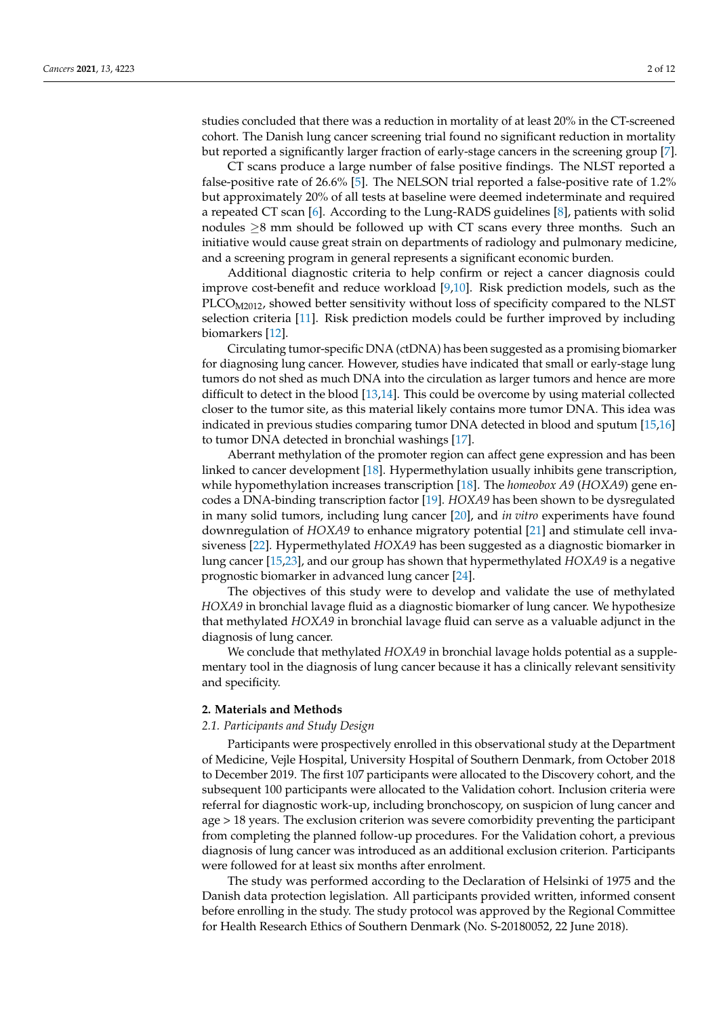studies concluded that there was a reduction in mortality of at least 20% in the CT-screened cohort. The Danish lung cancer screening trial found no significant reduction in mortality but reported a significantly larger fraction of early-stage cancers in the screening group [\[7\]](#page-11-5).

CT scans produce a large number of false positive findings. The NLST reported a false-positive rate of 26.6% [\[5\]](#page-11-3). The NELSON trial reported a false-positive rate of 1.2% but approximately 20% of all tests at baseline were deemed indeterminate and required a repeated CT scan [\[6\]](#page-11-4). According to the Lung-RADS guidelines [\[8\]](#page-11-6), patients with solid nodules  $\geq$ 8 mm should be followed up with CT scans every three months. Such an initiative would cause great strain on departments of radiology and pulmonary medicine, and a screening program in general represents a significant economic burden.

Additional diagnostic criteria to help confirm or reject a cancer diagnosis could improve cost-benefit and reduce workload [\[9,](#page-11-7)[10\]](#page-11-8). Risk prediction models, such as the PLCO<sub>M2012</sub>, showed better sensitivity without loss of specificity compared to the NLST selection criteria [\[11\]](#page-12-0). Risk prediction models could be further improved by including biomarkers [\[12\]](#page-12-1).

Circulating tumor-specific DNA (ctDNA) has been suggested as a promising biomarker for diagnosing lung cancer. However, studies have indicated that small or early-stage lung tumors do not shed as much DNA into the circulation as larger tumors and hence are more difficult to detect in the blood [\[13](#page-12-2)[,14\]](#page-12-3). This could be overcome by using material collected closer to the tumor site, as this material likely contains more tumor DNA. This idea was indicated in previous studies comparing tumor DNA detected in blood and sputum [\[15,](#page-12-4)[16\]](#page-12-5) to tumor DNA detected in bronchial washings [\[17\]](#page-12-6).

Aberrant methylation of the promoter region can affect gene expression and has been linked to cancer development [\[18\]](#page-12-7). Hypermethylation usually inhibits gene transcription, while hypomethylation increases transcription [\[18\]](#page-12-7). The *homeobox A9* (*HOXA9*) gene encodes a DNA-binding transcription factor [\[19\]](#page-12-8). *HOXA9* has been shown to be dysregulated in many solid tumors, including lung cancer [\[20\]](#page-12-9), and *in vitro* experiments have found downregulation of *HOXA9* to enhance migratory potential [\[21\]](#page-12-10) and stimulate cell invasiveness [\[22\]](#page-12-11). Hypermethylated *HOXA9* has been suggested as a diagnostic biomarker in lung cancer [\[15](#page-12-4)[,23\]](#page-12-12), and our group has shown that hypermethylated *HOXA9* is a negative prognostic biomarker in advanced lung cancer [\[24\]](#page-12-13).

The objectives of this study were to develop and validate the use of methylated *HOXA9* in bronchial lavage fluid as a diagnostic biomarker of lung cancer. We hypothesize that methylated *HOXA9* in bronchial lavage fluid can serve as a valuable adjunct in the diagnosis of lung cancer.

We conclude that methylated *HOXA9* in bronchial lavage holds potential as a supplementary tool in the diagnosis of lung cancer because it has a clinically relevant sensitivity and specificity.

## **2. Materials and Methods**

## *2.1. Participants and Study Design*

Participants were prospectively enrolled in this observational study at the Department of Medicine, Vejle Hospital, University Hospital of Southern Denmark, from October 2018 to December 2019. The first 107 participants were allocated to the Discovery cohort, and the subsequent 100 participants were allocated to the Validation cohort. Inclusion criteria were referral for diagnostic work-up, including bronchoscopy, on suspicion of lung cancer and age > 18 years. The exclusion criterion was severe comorbidity preventing the participant from completing the planned follow-up procedures. For the Validation cohort, a previous diagnosis of lung cancer was introduced as an additional exclusion criterion. Participants were followed for at least six months after enrolment.

The study was performed according to the Declaration of Helsinki of 1975 and the Danish data protection legislation. All participants provided written, informed consent before enrolling in the study. The study protocol was approved by the Regional Committee for Health Research Ethics of Southern Denmark (No. S-20180052, 22 June 2018).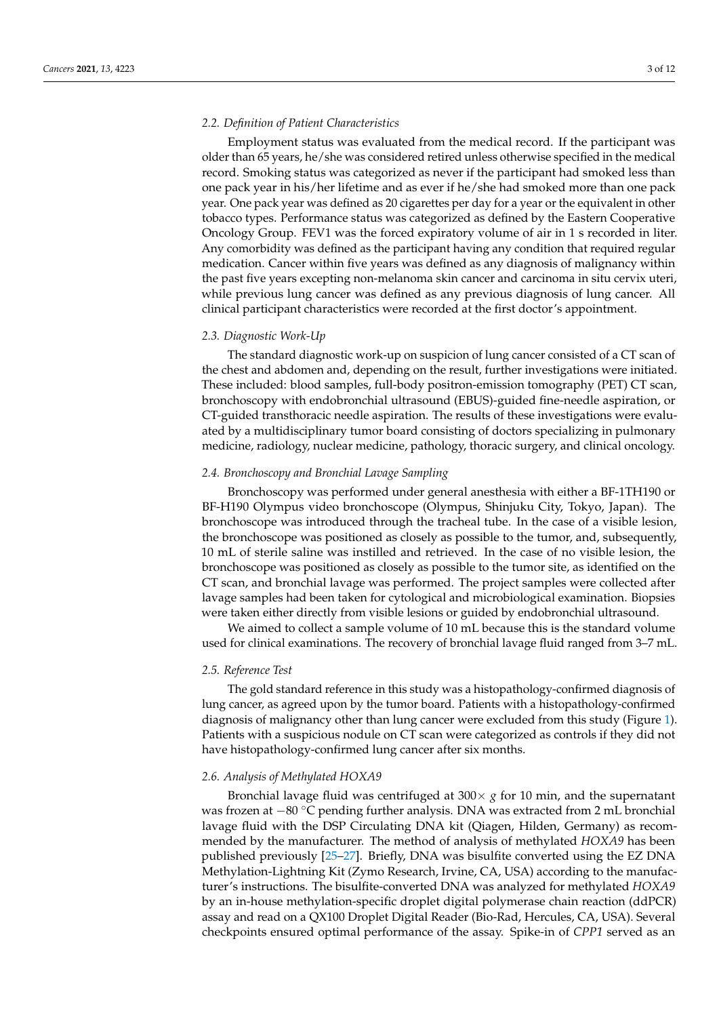### *2.2. Definition of Patient Characteristics*

Employment status was evaluated from the medical record. If the participant was older than 65 years, he/she was considered retired unless otherwise specified in the medical record. Smoking status was categorized as never if the participant had smoked less than one pack year in his/her lifetime and as ever if he/she had smoked more than one pack year. One pack year was defined as 20 cigarettes per day for a year or the equivalent in other tobacco types. Performance status was categorized as defined by the Eastern Cooperative Oncology Group. FEV1 was the forced expiratory volume of air in 1 s recorded in liter. Any comorbidity was defined as the participant having any condition that required regular medication. Cancer within five years was defined as any diagnosis of malignancy within the past five years excepting non-melanoma skin cancer and carcinoma in situ cervix uteri, while previous lung cancer was defined as any previous diagnosis of lung cancer. All clinical participant characteristics were recorded at the first doctor's appointment.

# *2.3. Diagnostic Work-Up*

The standard diagnostic work-up on suspicion of lung cancer consisted of a CT scan of the chest and abdomen and, depending on the result, further investigations were initiated. These included: blood samples, full-body positron-emission tomography (PET) CT scan, bronchoscopy with endobronchial ultrasound (EBUS)-guided fine-needle aspiration, or CT-guided transthoracic needle aspiration. The results of these investigations were evaluated by a multidisciplinary tumor board consisting of doctors specializing in pulmonary medicine, radiology, nuclear medicine, pathology, thoracic surgery, and clinical oncology.

### *2.4. Bronchoscopy and Bronchial Lavage Sampling*

Bronchoscopy was performed under general anesthesia with either a BF-1TH190 or BF-H190 Olympus video bronchoscope (Olympus, Shinjuku City, Tokyo, Japan). The bronchoscope was introduced through the tracheal tube. In the case of a visible lesion, the bronchoscope was positioned as closely as possible to the tumor, and, subsequently, 10 mL of sterile saline was instilled and retrieved. In the case of no visible lesion, the bronchoscope was positioned as closely as possible to the tumor site, as identified on the CT scan, and bronchial lavage was performed. The project samples were collected after lavage samples had been taken for cytological and microbiological examination. Biopsies were taken either directly from visible lesions or guided by endobronchial ultrasound.

We aimed to collect a sample volume of 10 mL because this is the standard volume used for clinical examinations. The recovery of bronchial lavage fluid ranged from 3–7 mL.

### *2.5. Reference Test*

The gold standard reference in this study was a histopathology-confirmed diagnosis of lung cancer, as agreed upon by the tumor board. Patients with a histopathology-confirmed diagnosis of malignancy other than lung cancer were excluded from this study (Figure [1\)](#page-4-0). Patients with a suspicious nodule on CT scan were categorized as controls if they did not have histopathology-confirmed lung cancer after six months.

### *2.6. Analysis of Methylated HOXA9*

Bronchial lavage fluid was centrifuged at  $300 \times g$  for 10 min, and the supernatant was frozen at −80 °C pending further analysis. DNA was extracted from 2 mL bronchial lavage fluid with the DSP Circulating DNA kit (Qiagen, Hilden, Germany) as recommended by the manufacturer. The method of analysis of methylated *HOXA9* has been published previously [\[25](#page-12-14)[–27\]](#page-12-15). Briefly, DNA was bisulfite converted using the EZ DNA Methylation-Lightning Kit (Zymo Research, Irvine, CA, USA) according to the manufacturer's instructions. The bisulfite-converted DNA was analyzed for methylated *HOXA9* by an in-house methylation-specific droplet digital polymerase chain reaction (ddPCR) assay and read on a QX100 Droplet Digital Reader (Bio-Rad, Hercules, CA, USA). Several checkpoints ensured optimal performance of the assay. Spike-in of *CPP1* served as an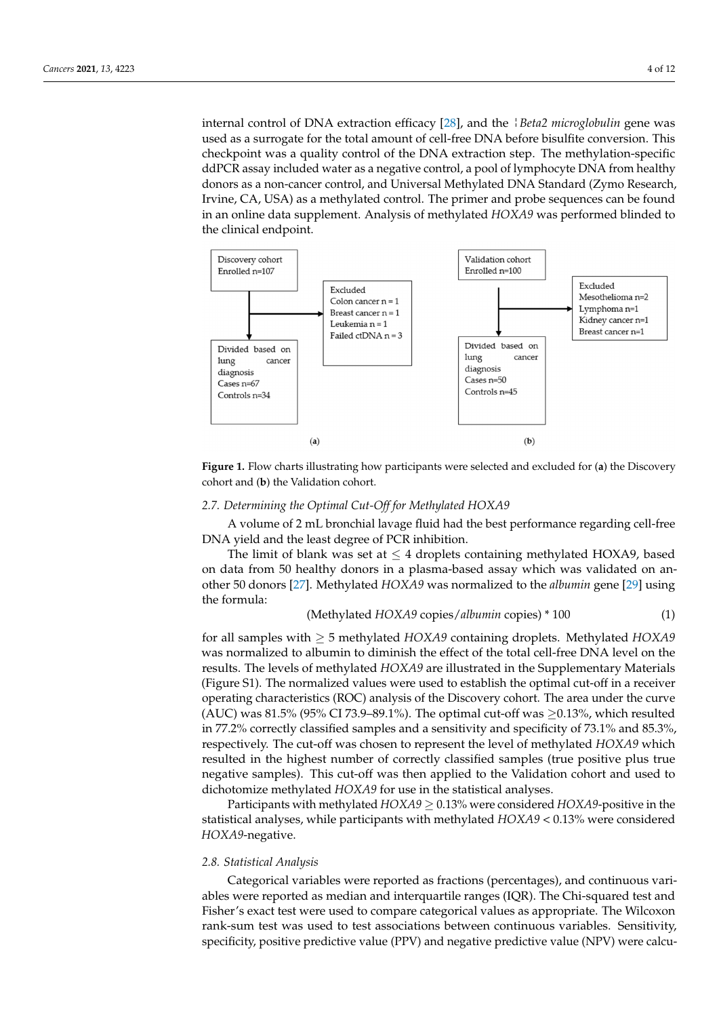internal control of DNA extraction efficacy [\[28\]](#page-12-16), and the ¦*Beta2 microglobulin* gene was used as a surrogate for the total amount of cell-free DNA before bisulfite conversion. This checkpoint was a quality control of the DNA extraction step. The methylation-specific ddPCR assay included water as a negative control, a pool of lymphocyte DNA from healthy donors as a non-cancer control, and Universal Methylated DNA Standard (Zymo Research, Irvine, CA, USA) as a methylated control. The primer and probe sequences can be found in an online data supplement. Analysis of methylated *HOXA9* was performed blinded to the clinical endpoint.

<span id="page-4-0"></span>

**Figure 1.** Flow charts illustrating how participants were selected and excluded for (a) the Discovery cohort and (**b**) the Validation cohort.

# *2.6. Analysis of Methylated HOXA9 2.7. Determining the Optimal Cut-Off for Methylated HOXA9*

DNA yield and the least degree of PCR inhibition. A volume of 2 mL bronchial lavage fluid had the best performance regarding cell-free

The limit of blank was set at  $\leq 4$  droplets containing methylated HOXA9, based on data from 50 healthy donors in a plasma-based assay which was validated on another 50 donors [27]. Methylated *HOXA9* was normalized to the *albumin* gene [29] using the formula: **EXE USING** was bisulfite converted using the EZ DNA was bisulfite converted using the EZ DNA Methylation-

# (Methylated *HOXA9* copies/*albumin* copies) \* 100 (1)

for all samples with ≥ 5 methylated *HOXA9* containing droplets. Methylated *HOXA9* was normalized to albumin to diminish the effect of the total cell-free DNA level on the results. The levels of methylated *HOXA9* are illustrated in the Supplementary Materials (Figure S1). The normalized values were used to establish the optimal cut-off in a receiver operating characteristics (ROC) analysis of the Discovery cohort. The area under the curve (AUC) was 81.5% (95% CI 73.9–89.1%). The optimal cut-off was  $\geq$ 0.13%, which resulted in 77.2% correctly classified samples and a sensitivity and specificity of 73.1% and 85.3%, respectively. The cut-off was chosen to represent the level of methylated *HOXA9* which resulted in the highest number of correctly classified samples (true positive plus true negative samples). This cut-off was then applied to the Validation cohort and used to dichotomize methylated *HOXA9* for use in the statistical analyses.

Participants with methylated *HOXA9*  $\geq$  0.13% were considered *HOXA9*-positive in the *2.7. Determining the Optimal Cut-off for Methylated HOXA9 HOXA9*-negative. statistical analyses, while participants with methylated *HOXA9* < 0.13% were considered

# A volume of 2 mL bronchial lavage fluid had the best performance regarding cell-*2.8. Statistical Analysis*

Categorical variables were reported as fractions (percentages), and continuous variables were reported as median and interquartile ranges (IQR). The Chi-squared test and Fisher's exact test were used to compare categorical values as appropriate. The Wilcoxon rank-sum test was used to test associations between continuous variables. Sensitivity, specificity, positive predictive value (PPV) and negative predictive value (NPV) were calcu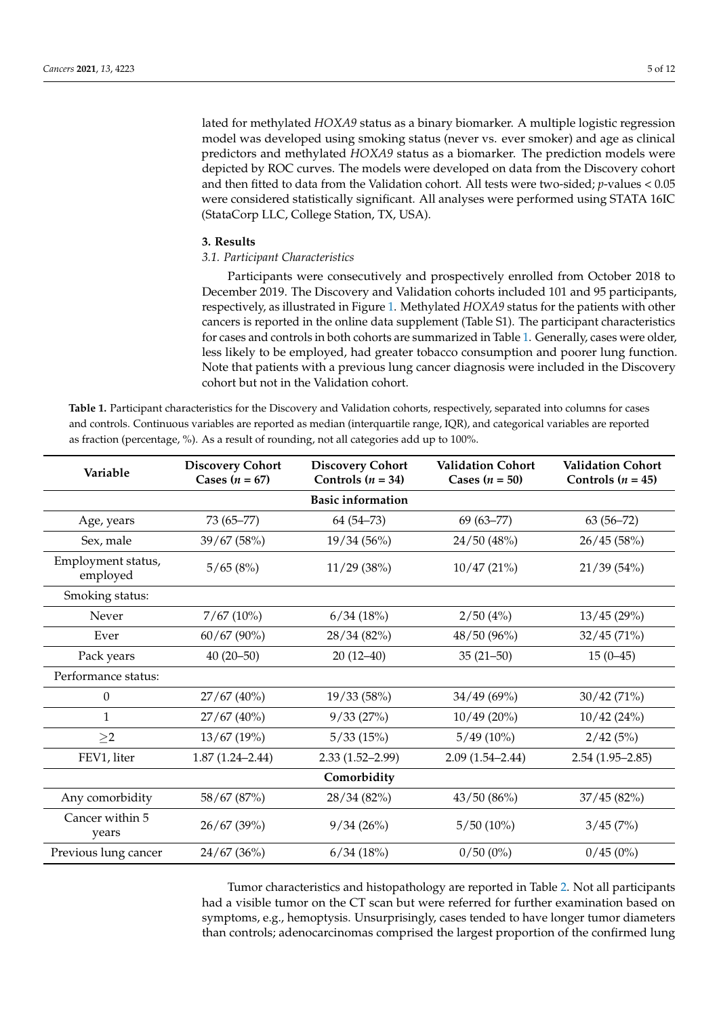lated for methylated *HOXA9* status as a binary biomarker. A multiple logistic regression model was developed using smoking status (never vs. ever smoker) and age as clinical predictors and methylated *HOXA9* status as a biomarker. The prediction models were depicted by ROC curves. The models were developed on data from the Discovery cohort and then fitted to data from the Validation cohort. All tests were two-sided; *p*-values < 0.05 were considered statistically significant. All analyses were performed using STATA 16IC (StataCorp LLC, College Station, TX, USA).

### **3. Results**

# *3.1. Participant Characteristics*

Participants were consecutively and prospectively enrolled from October 2018 to December 2019. The Discovery and Validation cohorts included 101 and 95 participants, respectively, as illustrated in Figure [1.](#page-4-0) Methylated *HOXA9* status for the patients with other cancers is reported in the online data supplement (Table S1). The participant characteristics for cases and controls in both cohorts are summarized in Table [1.](#page-5-0) Generally, cases were older, less likely to be employed, had greater tobacco consumption and poorer lung function. Note that patients with a previous lung cancer diagnosis were included in the Discovery cohort but not in the Validation cohort.

<span id="page-5-0"></span>**Table 1.** Participant characteristics for the Discovery and Validation cohorts, respectively, separated into columns for cases and controls. Continuous variables are reported as median (interquartile range, IQR), and categorical variables are reported as fraction (percentage, %). As a result of rounding, not all categories add up to 100%.

| Variable                       | <b>Discovery Cohort</b><br>Cases $(n = 67)$ | <b>Discovery Cohort</b><br>Controls $(n = 34)$ | <b>Validation Cohort</b><br>Cases $(n = 50)$ | <b>Validation Cohort</b><br>Controls $(n = 45)$ |  |  |  |  |  |
|--------------------------------|---------------------------------------------|------------------------------------------------|----------------------------------------------|-------------------------------------------------|--|--|--|--|--|
| <b>Basic information</b>       |                                             |                                                |                                              |                                                 |  |  |  |  |  |
| Age, years                     | $73(65 - 77)$                               | $64(54 - 73)$                                  | $69(63 - 77)$                                | $63(56 - 72)$                                   |  |  |  |  |  |
| Sex, male                      | 39/67 (58%)                                 | 19/34(56%)                                     | 24/50 (48%)                                  | 26/45(58%)                                      |  |  |  |  |  |
| Employment status,<br>employed | 5/65(8%)                                    | 11/29(38%)                                     | 10/47(21%)                                   | 21/39(54%)                                      |  |  |  |  |  |
| Smoking status:                |                                             |                                                |                                              |                                                 |  |  |  |  |  |
| Never                          | 7/67(10%)                                   | 6/34(18%)                                      | 2/50(4%)                                     | 13/45(29%)                                      |  |  |  |  |  |
| Ever                           | $60/67(90\%)$                               | 28/34(82%)                                     | 48/50 (96%)                                  | 32/45(71%)                                      |  |  |  |  |  |
| Pack years                     | $40(20-50)$                                 | $20(12-40)$                                    | $35(21 - 50)$                                | $15(0-45)$                                      |  |  |  |  |  |
| Performance status:            |                                             |                                                |                                              |                                                 |  |  |  |  |  |
| $\theta$                       | $27/67(40\%)$                               | 19/33(58%)                                     | 34/49(69%)                                   | 30/42(71%)                                      |  |  |  |  |  |
| 1                              | 27/67(40%)                                  | 9/33(27%)                                      | $10/49(20\%)$                                | 10/42 (24%)                                     |  |  |  |  |  |
| $\geq$ 2                       | 13/67(19%)                                  | 5/33(15%)                                      | $5/49(10\%)$                                 | 2/42(5%)                                        |  |  |  |  |  |
| FEV1, liter                    | $1.87(1.24 - 2.44)$                         | $2.33(1.52 - 2.99)$                            | $2.09(1.54 - 2.44)$                          | $2.54(1.95-2.85)$                               |  |  |  |  |  |
| Comorbidity                    |                                             |                                                |                                              |                                                 |  |  |  |  |  |
| Any comorbidity                | 58/67 (87%)                                 | 28/34(82%)                                     | 43/50(86%)                                   | 37/45(82%)                                      |  |  |  |  |  |
| Cancer within 5<br>years       | 26/67 (39%)                                 | 9/34(26%)                                      | $5/50(10\%)$                                 | 3/45(7%)                                        |  |  |  |  |  |
| Previous lung cancer           | 24/67 (36%)                                 | 6/34(18%)                                      | $0/50(0\%)$                                  | 0/45(0%)                                        |  |  |  |  |  |

Tumor characteristics and histopathology are reported in Table [2.](#page-6-0) Not all participants had a visible tumor on the CT scan but were referred for further examination based on symptoms, e.g., hemoptysis. Unsurprisingly, cases tended to have longer tumor diameters than controls; adenocarcinomas comprised the largest proportion of the confirmed lung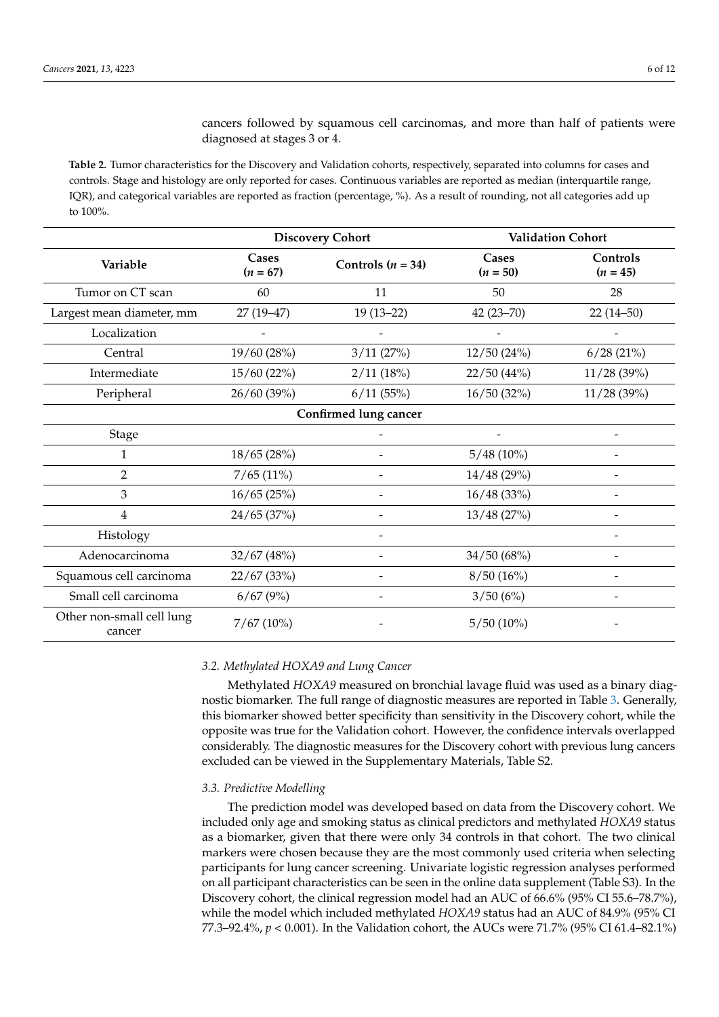cancers followed by squamous cell carcinomas, and more than half of patients were diagnosed at stages 3 or 4.

<span id="page-6-0"></span>**Table 2.** Tumor characteristics for the Discovery and Validation cohorts, respectively, separated into columns for cases and controls. Stage and histology are only reported for cases. Continuous variables are reported as median (interquartile range, IQR), and categorical variables are reported as fraction (percentage, %). As a result of rounding, not all categories add up to 100%.

|                                     |                     | <b>Discovery Cohort</b> | <b>Validation Cohort</b> |                        |  |  |  |  |  |
|-------------------------------------|---------------------|-------------------------|--------------------------|------------------------|--|--|--|--|--|
| Variable                            | Cases<br>$(n = 67)$ | Controls $(n = 34)$     | Cases<br>$(n = 50)$      | Controls<br>$(n = 45)$ |  |  |  |  |  |
| Tumor on CT scan                    | 60                  | 11                      | 50                       | 28                     |  |  |  |  |  |
| Largest mean diameter, mm           | $27(19-47)$         | $19(13-22)$             | $42(23 - 70)$            | $22(14-50)$            |  |  |  |  |  |
| Localization                        |                     |                         |                          |                        |  |  |  |  |  |
| Central                             | 19/60 (28%)         | 3/11(27%)               | 12/50(24%)               | 6/28(21%)              |  |  |  |  |  |
| Intermediate                        | 15/60 (22%)         | 2/11(18%)               | 22/50(44%)               | 11/28(39%)             |  |  |  |  |  |
| Peripheral                          | 26/60(39%)          | 6/11(55%)               | 16/50(32%)               | 11/28(39%)             |  |  |  |  |  |
| Confirmed lung cancer               |                     |                         |                          |                        |  |  |  |  |  |
| Stage                               |                     |                         |                          |                        |  |  |  |  |  |
| 1                                   | 18/65 (28%)         |                         | $5/48(10\%)$             |                        |  |  |  |  |  |
| $\overline{2}$                      | 7/65(11%)           |                         | 14/48(29%)               |                        |  |  |  |  |  |
| 3                                   | 16/65(25%)          |                         | 16/48(33%)               |                        |  |  |  |  |  |
| $\overline{4}$                      | 24/65(37%)          |                         | 13/48(27%)               |                        |  |  |  |  |  |
| Histology                           |                     |                         |                          |                        |  |  |  |  |  |
| Adenocarcinoma                      | 32/67 (48%)         |                         | 34/50 (68%)              |                        |  |  |  |  |  |
| Squamous cell carcinoma             | 22/67(33%)          |                         | 8/50(16%)                |                        |  |  |  |  |  |
| Small cell carcinoma                | 6/67(9%)            |                         | 3/50(6%)                 |                        |  |  |  |  |  |
| Other non-small cell lung<br>cancer | 7/67(10%)           |                         | $5/50(10\%)$             |                        |  |  |  |  |  |

### *3.2. Methylated HOXA9 and Lung Cancer*

Methylated *HOXA9* measured on bronchial lavage fluid was used as a binary diagnostic biomarker. The full range of diagnostic measures are reported in Table [3.](#page-7-0) Generally, this biomarker showed better specificity than sensitivity in the Discovery cohort, while the opposite was true for the Validation cohort. However, the confidence intervals overlapped considerably. The diagnostic measures for the Discovery cohort with previous lung cancers excluded can be viewed in the Supplementary Materials, Table S2.

### *3.3. Predictive Modelling*

The prediction model was developed based on data from the Discovery cohort. We included only age and smoking status as clinical predictors and methylated *HOXA9* status as a biomarker, given that there were only 34 controls in that cohort. The two clinical markers were chosen because they are the most commonly used criteria when selecting participants for lung cancer screening. Univariate logistic regression analyses performed on all participant characteristics can be seen in the online data supplement (Table S3). In the Discovery cohort, the clinical regression model had an AUC of 66.6% (95% CI 55.6–78.7%), while the model which included methylated *HOXA9* status had an AUC of 84.9% (95% CI 77.3–92.4%, *p* < 0.001). In the Validation cohort, the AUCs were 71.7% (95% CI 61.4–82.1%)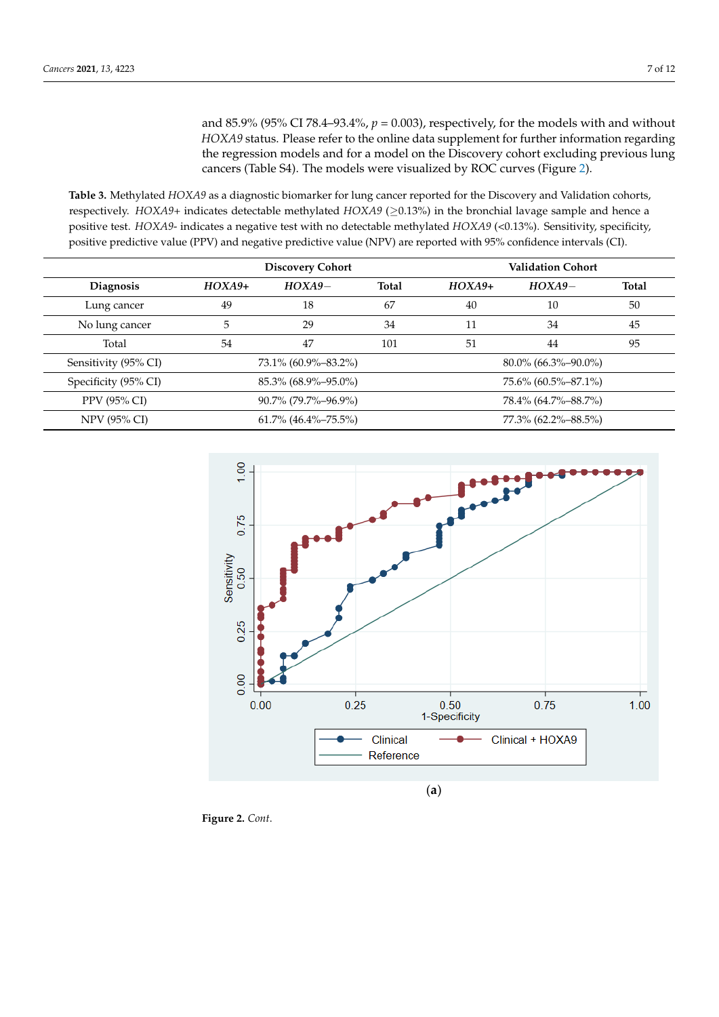and 85.9% (95% CI 78.4–93.4%,  $p = 0.003$ ), respectively, for the models with and without *HOXA9* status. Please refer to the online data supplement for further information regarding the regression models and for a model on the Discovery cohort excluding previous lung cancers (Table S4). The models were visualized by ROC curves (Figure [2\)](#page-8-0).

<span id="page-7-0"></span>Table 3. Methylated *HOXA9* as a diagnostic biomarker for lung cancer reported for the Discovery and Validation cohorts, respectively. *HOXA9*+ indicates detectable methylated *HOXA9* (≥0.13%) in the bronchial lavage sample and hence a<br>The prediction model was developed based on data from the Discovery contract on data from the Discovery co positive test. *HOXA9*- indicates a negative test with no detectable methylated *HOXA9* (<0.13%). Sensitivity, specificity, positive test. *HOXA9* - indicates a negative test with no detectable inethylated *HOXA9* (S0.19%). Sensitivity, specificity,<br>positive predictive value (PPV) and negative predictive value (NPV) are reported with 95% confid  $\alpha$  biomarker were  $\alpha$  and  $\beta$  are reported with so so contractive much can  $\infty$ .

|                      |                          | <b>Discovery Cohort</b> |       | <b>Validation Cohort</b> |                        |       |  |
|----------------------|--------------------------|-------------------------|-------|--------------------------|------------------------|-------|--|
| <b>Diagnosis</b>     | $HOXA9+$                 | $HOXA9-$                | Total | $HOXA9+$                 | $HOXA9-$               | Total |  |
| Lung cancer          | 49                       | 18                      | 67    | 40                       | 10                     | 50    |  |
| No lung cancer       | 5                        | 29                      | 34    | 11                       | 34                     | 45    |  |
| Total                | 54                       | 47                      | 101   | 51                       | 44                     | 95    |  |
| Sensitivity (95% CI) | 73.1% (60.9%-83.2%)      |                         |       |                          | $80.0\%$ (66.3%–90.0%) |       |  |
| Specificity (95% CI) | 85.3% (68.9%-95.0%)      |                         |       | 75.6% (60.5%-87.1%)      |                        |       |  |
| PPV (95% CI)         | $90.7\%$ (79.7%-96.9%)   |                         |       | 78.4% (64.7%-88.7%)      |                        |       |  |
| NPV (95% CI)         | $61.7\%$ (46.4\%-75.5\%) |                         |       | 77.3% (62.2%-88.5%)      |                        |       |  |



**Figure 2.** *Cont*.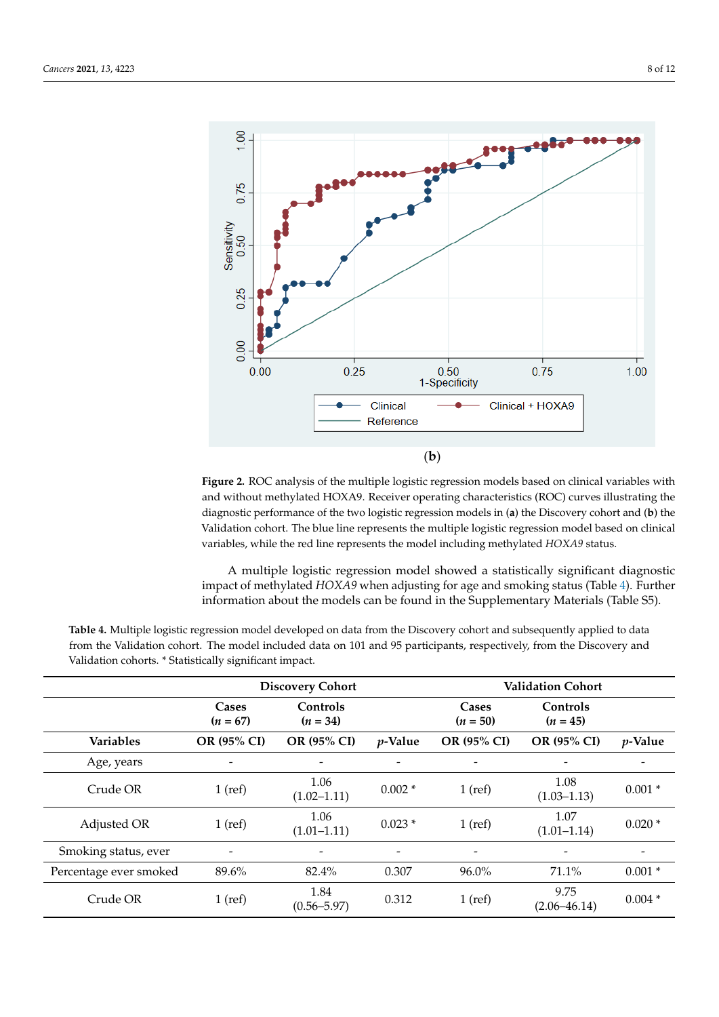<span id="page-8-0"></span>

Figure 2. ROC analysis of the multiple logistic regression models based on clinical variables with and without methylated HOXA9. Receiver operating characteristics (ROC) curves illustrating the diagnostic performance of the two logistic regression models in (a) the Discovery cohort and (b) the Validation cohort. The blue line represents the multiple logistic regression model based on clinical variables, while the red line represents the model including methylated *HOXA9* status.

> A multiple logistic regression model showed a statistically significant diagnostic A multiple logistic regression model showed a statistically significant diagnostic<br>diagnostic and the HOXA9 status (Cable 4). The status (Table 4). The status of the status of the status of the status of the status of the  $F$ urther information about the models can be found in the Supplementary Materials (Table  $\mathsf{SE}$ ) information about the models can be found in the Supplementary Materials (Table S5).<br> impact of methylated *HOXA9* when adjusting for age and smoking status (Table [4\)](#page-8-1). Further

|                        | <b>Discovery Cohort</b>  |                          |                          | <b>Validation Cohort</b> |                          |                          |
|------------------------|--------------------------|--------------------------|--------------------------|--------------------------|--------------------------|--------------------------|
|                        | Cases<br>$(n = 67)$      | Controls<br>$(n = 34)$   |                          | Cases<br>$(n = 50)$      | Controls<br>$(n = 45)$   |                          |
| <b>Variables</b>       | OR (95% CI)              | OR (95% CI)              | $p$ -Value               | OR (95% CI)              | OR (95% CI)              | <i>p</i> -Value          |
| Age, years             | $\overline{\phantom{a}}$ | $\overline{\phantom{0}}$ | $\overline{\phantom{a}}$ | $\overline{\phantom{a}}$ | $\overline{\phantom{0}}$ | $\overline{\phantom{0}}$ |
| Crude OR               | $1$ (ref)                | 1.06<br>$(1.02 - 1.11)$  | $0.002*$                 | $1$ (ref)                | 1.08<br>$(1.03 - 1.13)$  | $0.001*$                 |
| Adjusted OR            | $1$ (ref)                | 1.06<br>$(1.01 - 1.11)$  | $0.023*$                 | $1$ (ref)                | 1.07<br>$(1.01 - 1.14)$  | $0.020*$                 |
| Smoking status, ever   | ۰                        | $\overline{\phantom{a}}$ | $\overline{\phantom{a}}$ | $\overline{\phantom{a}}$ | $\overline{\phantom{a}}$ | $\overline{\phantom{0}}$ |
| Percentage ever smoked | 89.6%                    | 82.4%                    | 0.307                    | 96.0%                    | 71.1%                    | $0.001*$                 |
| Crude OR               | $1$ (ref)                | 1.84<br>$(0.56 - 5.97)$  | 0.312                    | $1$ (ref)                | 9.75<br>$(2.06 - 46.14)$ | $0.004*$                 |

<span id="page-8-1"></span>from the Validation cohort. The model included data on 101 and 95 participants, respectively, from the Discovery and Validation cohorts. \* Statistically significant impact. **Table 4.** Multiple logistic regression model developed on data from the Discovery cohort and subsequently applied to data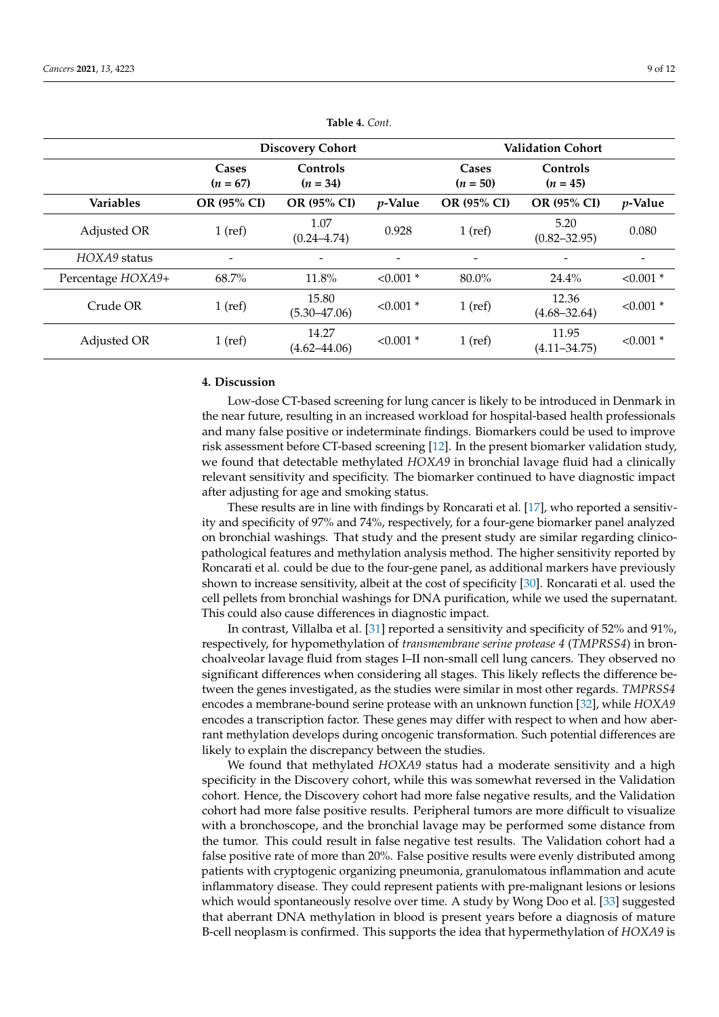|                   |                     | <b>Discovery Cohort</b>   |             | <b>Validation Cohort</b> |                           |             |  |
|-------------------|---------------------|---------------------------|-------------|--------------------------|---------------------------|-------------|--|
|                   | Cases<br>$(n = 67)$ | Controls<br>$(n = 34)$    |             | Cases<br>$(n = 50)$      | Controls<br>$(n = 45)$    |             |  |
| <b>Variables</b>  | OR (95% CI)         | OR (95% CI)               | $p$ -Value  | OR (95% CI)              | <b>OR (95% CI)</b>        | $p$ -Value  |  |
| Adjusted OR       | $1$ (ref)           | 1.07<br>$(0.24 - 4.74)$   | 0.928       | $1$ (ref)                | 5.20<br>$(0.82 - 32.95)$  | 0.080       |  |
| HOXA9 status      |                     |                           |             | $\overline{\phantom{a}}$ |                           | -           |  |
| Percentage HOXA9+ | 68.7%               | $11.8\%$                  | $< 0.001$ * | 80.0%                    | 24.4%                     | $< 0.001$ * |  |
| Crude OR          | $1$ (ref)           | 15.80<br>$(5.30 - 47.06)$ | $< 0.001$ * | $1$ (ref)                | 12.36<br>$(4.68 - 32.64)$ | $< 0.001$ * |  |
| Adjusted OR       | $1$ (ref)           | 14.27<br>$(4.62 - 44.06)$ | $< 0.001$ * | $1$ (ref)                | 11.95<br>$(4.11 - 34.75)$ | $< 0.001$ * |  |

**Table 4.** *Cont.*

## **4. Discussion**

Low-dose CT-based screening for lung cancer is likely to be introduced in Denmark in the near future, resulting in an increased workload for hospital-based health professionals and many false positive or indeterminate findings. Biomarkers could be used to improve risk assessment before CT-based screening [\[12\]](#page-12-1). In the present biomarker validation study, we found that detectable methylated *HOXA9* in bronchial lavage fluid had a clinically relevant sensitivity and specificity. The biomarker continued to have diagnostic impact after adjusting for age and smoking status.

These results are in line with findings by Roncarati et al. [\[17\]](#page-12-6), who reported a sensitivity and specificity of 97% and 74%, respectively, for a four-gene biomarker panel analyzed on bronchial washings. That study and the present study are similar regarding clinicopathological features and methylation analysis method. The higher sensitivity reported by Roncarati et al. could be due to the four-gene panel, as additional markers have previously shown to increase sensitivity, albeit at the cost of specificity [\[30\]](#page-12-18). Roncarati et al. used the cell pellets from bronchial washings for DNA purification, while we used the supernatant. This could also cause differences in diagnostic impact.

In contrast, Villalba et al. [\[31\]](#page-12-19) reported a sensitivity and specificity of 52% and 91%, respectively, for hypomethylation of *transmembrane serine protease 4* (*TMPRSS4*) in bronchoalveolar lavage fluid from stages I–II non-small cell lung cancers. They observed no significant differences when considering all stages. This likely reflects the difference between the genes investigated, as the studies were similar in most other regards. *TMPRSS4* encodes a membrane-bound serine protease with an unknown function [\[32\]](#page-12-20), while *HOXA9* encodes a transcription factor. These genes may differ with respect to when and how aberrant methylation develops during oncogenic transformation. Such potential differences are likely to explain the discrepancy between the studies.

We found that methylated *HOXA9* status had a moderate sensitivity and a high specificity in the Discovery cohort, while this was somewhat reversed in the Validation cohort. Hence, the Discovery cohort had more false negative results, and the Validation cohort had more false positive results. Peripheral tumors are more difficult to visualize with a bronchoscope, and the bronchial lavage may be performed some distance from the tumor. This could result in false negative test results. The Validation cohort had a false positive rate of more than 20%. False positive results were evenly distributed among patients with cryptogenic organizing pneumonia, granulomatous inflammation and acute inflammatory disease. They could represent patients with pre-malignant lesions or lesions which would spontaneously resolve over time. A study by Wong Doo et al. [\[33\]](#page-12-21) suggested that aberrant DNA methylation in blood is present years before a diagnosis of mature B-cell neoplasm is confirmed. This supports the idea that hypermethylation of *HOXA9* is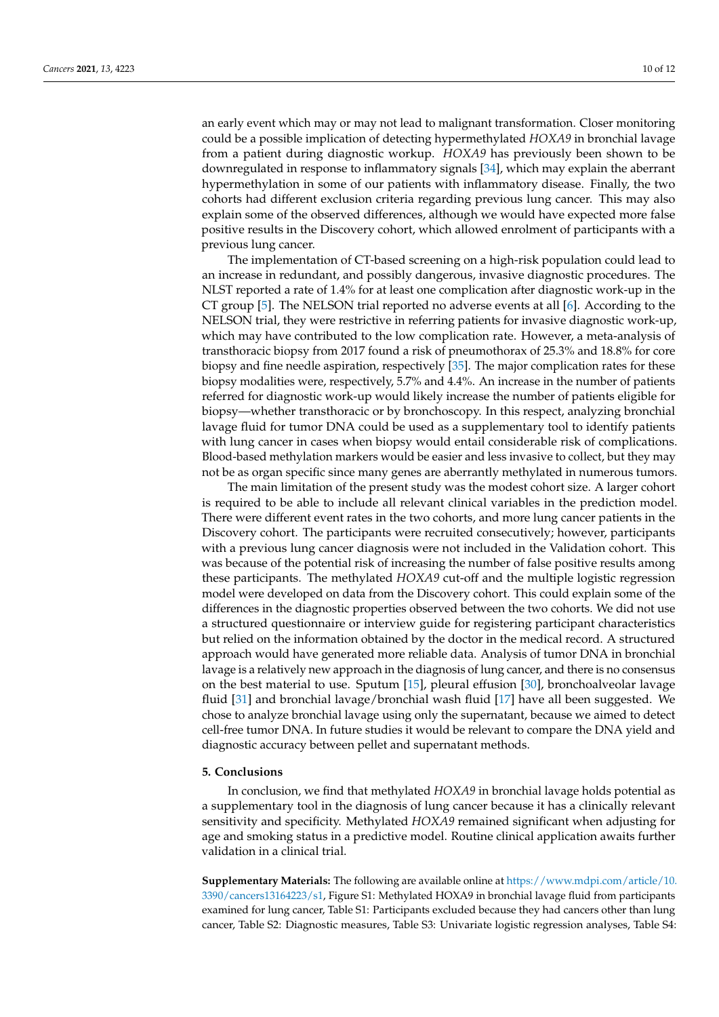an early event which may or may not lead to malignant transformation. Closer monitoring could be a possible implication of detecting hypermethylated *HOXA9* in bronchial lavage from a patient during diagnostic workup. *HOXA9* has previously been shown to be downregulated in response to inflammatory signals [\[34\]](#page-12-22), which may explain the aberrant hypermethylation in some of our patients with inflammatory disease. Finally, the two cohorts had different exclusion criteria regarding previous lung cancer. This may also explain some of the observed differences, although we would have expected more false positive results in the Discovery cohort, which allowed enrolment of participants with a previous lung cancer.

The implementation of CT-based screening on a high-risk population could lead to an increase in redundant, and possibly dangerous, invasive diagnostic procedures. The NLST reported a rate of 1.4% for at least one complication after diagnostic work-up in the CT group [\[5\]](#page-11-3). The NELSON trial reported no adverse events at all [\[6\]](#page-11-4). According to the NELSON trial, they were restrictive in referring patients for invasive diagnostic work-up, which may have contributed to the low complication rate. However, a meta-analysis of transthoracic biopsy from 2017 found a risk of pneumothorax of 25.3% and 18.8% for core biopsy and fine needle aspiration, respectively [\[35\]](#page-12-23). The major complication rates for these biopsy modalities were, respectively, 5.7% and 4.4%. An increase in the number of patients referred for diagnostic work-up would likely increase the number of patients eligible for biopsy—whether transthoracic or by bronchoscopy. In this respect, analyzing bronchial lavage fluid for tumor DNA could be used as a supplementary tool to identify patients with lung cancer in cases when biopsy would entail considerable risk of complications. Blood-based methylation markers would be easier and less invasive to collect, but they may not be as organ specific since many genes are aberrantly methylated in numerous tumors.

The main limitation of the present study was the modest cohort size. A larger cohort is required to be able to include all relevant clinical variables in the prediction model. There were different event rates in the two cohorts, and more lung cancer patients in the Discovery cohort. The participants were recruited consecutively; however, participants with a previous lung cancer diagnosis were not included in the Validation cohort. This was because of the potential risk of increasing the number of false positive results among these participants. The methylated *HOXA9* cut-off and the multiple logistic regression model were developed on data from the Discovery cohort. This could explain some of the differences in the diagnostic properties observed between the two cohorts. We did not use a structured questionnaire or interview guide for registering participant characteristics but relied on the information obtained by the doctor in the medical record. A structured approach would have generated more reliable data. Analysis of tumor DNA in bronchial lavage is a relatively new approach in the diagnosis of lung cancer, and there is no consensus on the best material to use. Sputum [\[15\]](#page-12-4), pleural effusion [\[30\]](#page-12-18), bronchoalveolar lavage fluid [\[31\]](#page-12-19) and bronchial lavage/bronchial wash fluid [\[17\]](#page-12-6) have all been suggested. We chose to analyze bronchial lavage using only the supernatant, because we aimed to detect cell-free tumor DNA. In future studies it would be relevant to compare the DNA yield and diagnostic accuracy between pellet and supernatant methods.

## **5. Conclusions**

In conclusion, we find that methylated *HOXA9* in bronchial lavage holds potential as a supplementary tool in the diagnosis of lung cancer because it has a clinically relevant sensitivity and specificity. Methylated *HOXA9* remained significant when adjusting for age and smoking status in a predictive model. Routine clinical application awaits further validation in a clinical trial.

**Supplementary Materials:** The following are available online at [https://www.mdpi.com/article/10.](https://www.mdpi.com/article/10.3390/cancers13164223/s1) [3390/cancers13164223/s1,](https://www.mdpi.com/article/10.3390/cancers13164223/s1) Figure S1: Methylated HOXA9 in bronchial lavage fluid from participants examined for lung cancer, Table S1: Participants excluded because they had cancers other than lung cancer, Table S2: Diagnostic measures, Table S3: Univariate logistic regression analyses, Table S4: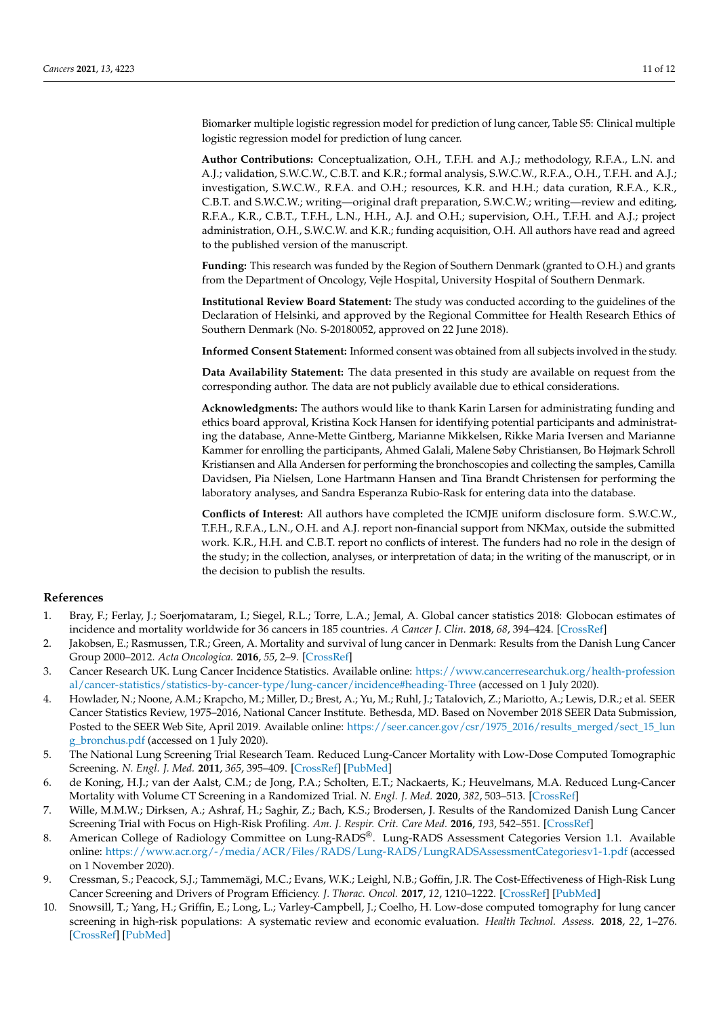Biomarker multiple logistic regression model for prediction of lung cancer, Table S5: Clinical multiple logistic regression model for prediction of lung cancer.

**Author Contributions:** Conceptualization, O.H., T.F.H. and A.J.; methodology, R.F.A., L.N. and A.J.; validation, S.W.C.W., C.B.T. and K.R.; formal analysis, S.W.C.W., R.F.A., O.H., T.F.H. and A.J.; investigation, S.W.C.W., R.F.A. and O.H.; resources, K.R. and H.H.; data curation, R.F.A., K.R., C.B.T. and S.W.C.W.; writing—original draft preparation, S.W.C.W.; writing—review and editing, R.F.A., K.R., C.B.T., T.F.H., L.N., H.H., A.J. and O.H.; supervision, O.H., T.F.H. and A.J.; project administration, O.H., S.W.C.W. and K.R.; funding acquisition, O.H. All authors have read and agreed to the published version of the manuscript.

**Funding:** This research was funded by the Region of Southern Denmark (granted to O.H.) and grants from the Department of Oncology, Vejle Hospital, University Hospital of Southern Denmark.

**Institutional Review Board Statement:** The study was conducted according to the guidelines of the Declaration of Helsinki, and approved by the Regional Committee for Health Research Ethics of Southern Denmark (No. S-20180052, approved on 22 June 2018).

**Informed Consent Statement:** Informed consent was obtained from all subjects involved in the study.

**Data Availability Statement:** The data presented in this study are available on request from the corresponding author. The data are not publicly available due to ethical considerations.

**Acknowledgments:** The authors would like to thank Karin Larsen for administrating funding and ethics board approval, Kristina Kock Hansen for identifying potential participants and administrating the database, Anne-Mette Gintberg, Marianne Mikkelsen, Rikke Maria Iversen and Marianne Kammer for enrolling the participants, Ahmed Galali, Malene Søby Christiansen, Bo Højmark Schroll Kristiansen and Alla Andersen for performing the bronchoscopies and collecting the samples, Camilla Davidsen, Pia Nielsen, Lone Hartmann Hansen and Tina Brandt Christensen for performing the laboratory analyses, and Sandra Esperanza Rubio-Rask for entering data into the database.

**Conflicts of Interest:** All authors have completed the ICMJE uniform disclosure form. S.W.C.W., T.F.H., R.F.A., L.N., O.H. and A.J. report non-financial support from NKMax, outside the submitted work. K.R., H.H. and C.B.T. report no conflicts of interest. The funders had no role in the design of the study; in the collection, analyses, or interpretation of data; in the writing of the manuscript, or in the decision to publish the results.

#### **References**

- <span id="page-11-0"></span>1. Bray, F.; Ferlay, J.; Soerjomataram, I.; Siegel, R.L.; Torre, L.A.; Jemal, A. Global cancer statistics 2018: Globocan estimates of incidence and mortality worldwide for 36 cancers in 185 countries. *A Cancer J. Clin.* **2018**, *68*, 394–424. [\[CrossRef\]](http://doi.org/10.3322/caac.21492)
- <span id="page-11-1"></span>2. Jakobsen, E.; Rasmussen, T.R.; Green, A. Mortality and survival of lung cancer in Denmark: Results from the Danish Lung Cancer Group 2000–2012. *Acta Oncologica.* **2016**, *55*, 2–9. [\[CrossRef\]](http://doi.org/10.3109/0284186X.2016.1150608)
- 3. Cancer Research UK. Lung Cancer Incidence Statistics. Available online: [https://www.cancerresearchuk.org/health-profession](https://www.cancerresearchuk.org/health-professional/cancer-statistics/statistics-by-cancer-type/lung-cancer/incidence#heading-Three) [al/cancer-statistics/statistics-by-cancer-type/lung-cancer/incidence#heading-Three](https://www.cancerresearchuk.org/health-professional/cancer-statistics/statistics-by-cancer-type/lung-cancer/incidence#heading-Three) (accessed on 1 July 2020).
- <span id="page-11-2"></span>4. Howlader, N.; Noone, A.M.; Krapcho, M.; Miller, D.; Brest, A.; Yu, M.; Ruhl, J.; Tatalovich, Z.; Mariotto, A.; Lewis, D.R.; et al. SEER Cancer Statistics Review, 1975–2016, National Cancer Institute. Bethesda, MD. Based on November 2018 SEER Data Submission, Posted to the SEER Web Site, April 2019. Available online: [https://seer.cancer.gov/csr/1975\\_2016/results\\_merged/sect\\_15\\_lun](https://seer.cancer.gov/csr/1975_2016/results_merged/sect_15_lung_bronchus.pdf) [g\\_bronchus.pdf](https://seer.cancer.gov/csr/1975_2016/results_merged/sect_15_lung_bronchus.pdf) (accessed on 1 July 2020).
- <span id="page-11-3"></span>5. The National Lung Screening Trial Research Team. Reduced Lung-Cancer Mortality with Low-Dose Computed Tomographic Screening. *N. Engl. J. Med.* **2011**, *365*, 395–409. [\[CrossRef\]](http://doi.org/10.1056/NEJMoa1102873) [\[PubMed\]](http://www.ncbi.nlm.nih.gov/pubmed/21714641)
- <span id="page-11-4"></span>6. de Koning, H.J.; van der Aalst, C.M.; de Jong, P.A.; Scholten, E.T.; Nackaerts, K.; Heuvelmans, M.A. Reduced Lung-Cancer Mortality with Volume CT Screening in a Randomized Trial. *N. Engl. J. Med.* **2020**, *382*, 503–513. [\[CrossRef\]](http://doi.org/10.1056/NEJMoa1911793)
- <span id="page-11-5"></span>7. Wille, M.M.W.; Dirksen, A.; Ashraf, H.; Saghir, Z.; Bach, K.S.; Brodersen, J. Results of the Randomized Danish Lung Cancer Screening Trial with Focus on High-Risk Profiling. *Am. J. Respir. Crit. Care Med.* **2016**, *193*, 542–551. [\[CrossRef\]](http://doi.org/10.1164/rccm.201505-1040OC)
- <span id="page-11-6"></span>8. American College of Radiology Committee on Lung-RADS®. Lung-RADS Assessment Categories Version 1.1. Available online: <https://www.acr.org/-/media/ACR/Files/RADS/Lung-RADS/LungRADSAssessmentCategoriesv1-1.pdf> (accessed on 1 November 2020).
- <span id="page-11-7"></span>9. Cressman, S.; Peacock, S.J.; Tammemägi, M.C.; Evans, W.K.; Leighl, N.B.; Goffin, J.R. The Cost-Effectiveness of High-Risk Lung Cancer Screening and Drivers of Program Efficiency. *J. Thorac. Oncol.* **2017**, *12*, 1210–1222. [\[CrossRef\]](http://doi.org/10.1016/j.jtho.2017.04.021) [\[PubMed\]](http://www.ncbi.nlm.nih.gov/pubmed/28499861)
- <span id="page-11-8"></span>10. Snowsill, T.; Yang, H.; Griffin, E.; Long, L.; Varley-Campbell, J.; Coelho, H. Low-dose computed tomography for lung cancer screening in high-risk populations: A systematic review and economic evaluation. *Health Technol. Assess.* **2018**, *22*, 1–276. [\[CrossRef\]](http://doi.org/10.3310/hta22690) [\[PubMed\]](http://www.ncbi.nlm.nih.gov/pubmed/30518460)